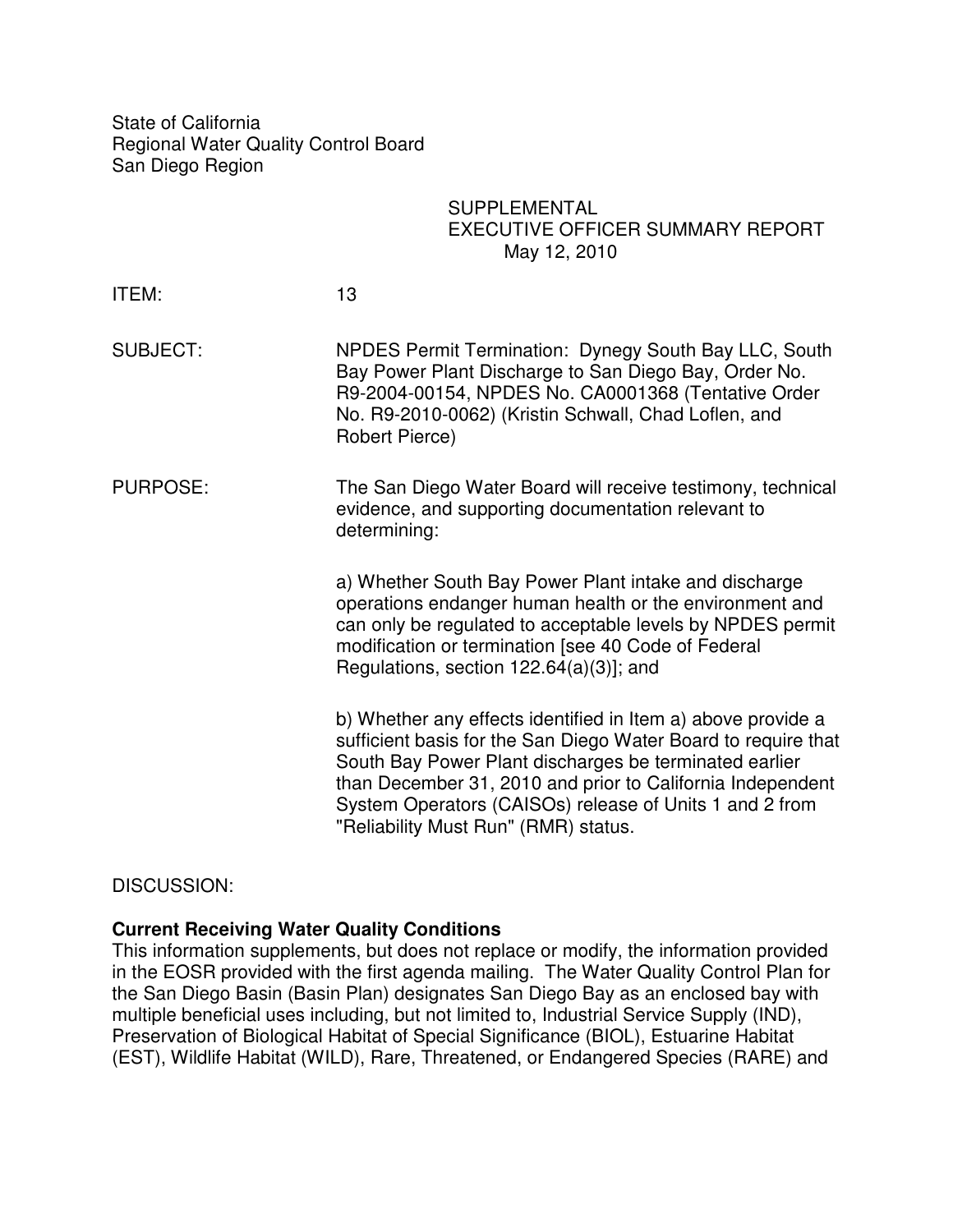State of California Regional Water Quality Control Board San Diego Region

# **SUPPLEMENTAL** EXECUTIVE OFFICER SUMMARY REPORT May 12, 2010

| ITEM:           | 13                                                                                                                                                                                                                                                                                                                                                        |
|-----------------|-----------------------------------------------------------------------------------------------------------------------------------------------------------------------------------------------------------------------------------------------------------------------------------------------------------------------------------------------------------|
| <b>SUBJECT:</b> | NPDES Permit Termination: Dynegy South Bay LLC, South<br>Bay Power Plant Discharge to San Diego Bay, Order No.<br>R9-2004-00154, NPDES No. CA0001368 (Tentative Order<br>No. R9-2010-0062) (Kristin Schwall, Chad Loflen, and<br>Robert Pierce)                                                                                                           |
| PURPOSE:        | The San Diego Water Board will receive testimony, technical<br>evidence, and supporting documentation relevant to<br>determining:                                                                                                                                                                                                                         |
|                 | a) Whether South Bay Power Plant intake and discharge<br>operations endanger human health or the environment and<br>can only be regulated to acceptable levels by NPDES permit<br>modification or termination [see 40 Code of Federal<br>Regulations, section $122.64(a)(3)$ ; and                                                                        |
|                 | b) Whether any effects identified in Item a) above provide a<br>sufficient basis for the San Diego Water Board to require that<br>South Bay Power Plant discharges be terminated earlier<br>than December 31, 2010 and prior to California Independent<br>System Operators (CAISOs) release of Units 1 and 2 from<br>"Reliability Must Run" (RMR) status. |

DISCUSSION:

## **Current Receiving Water Quality Conditions**

This information supplements, but does not replace or modify, the information provided in the EOSR provided with the first agenda mailing. The Water Quality Control Plan for the San Diego Basin (Basin Plan) designates San Diego Bay as an enclosed bay with multiple beneficial uses including, but not limited to, Industrial Service Supply (IND), Preservation of Biological Habitat of Special Significance (BIOL), Estuarine Habitat (EST), Wildlife Habitat (WILD), Rare, Threatened, or Endangered Species (RARE) and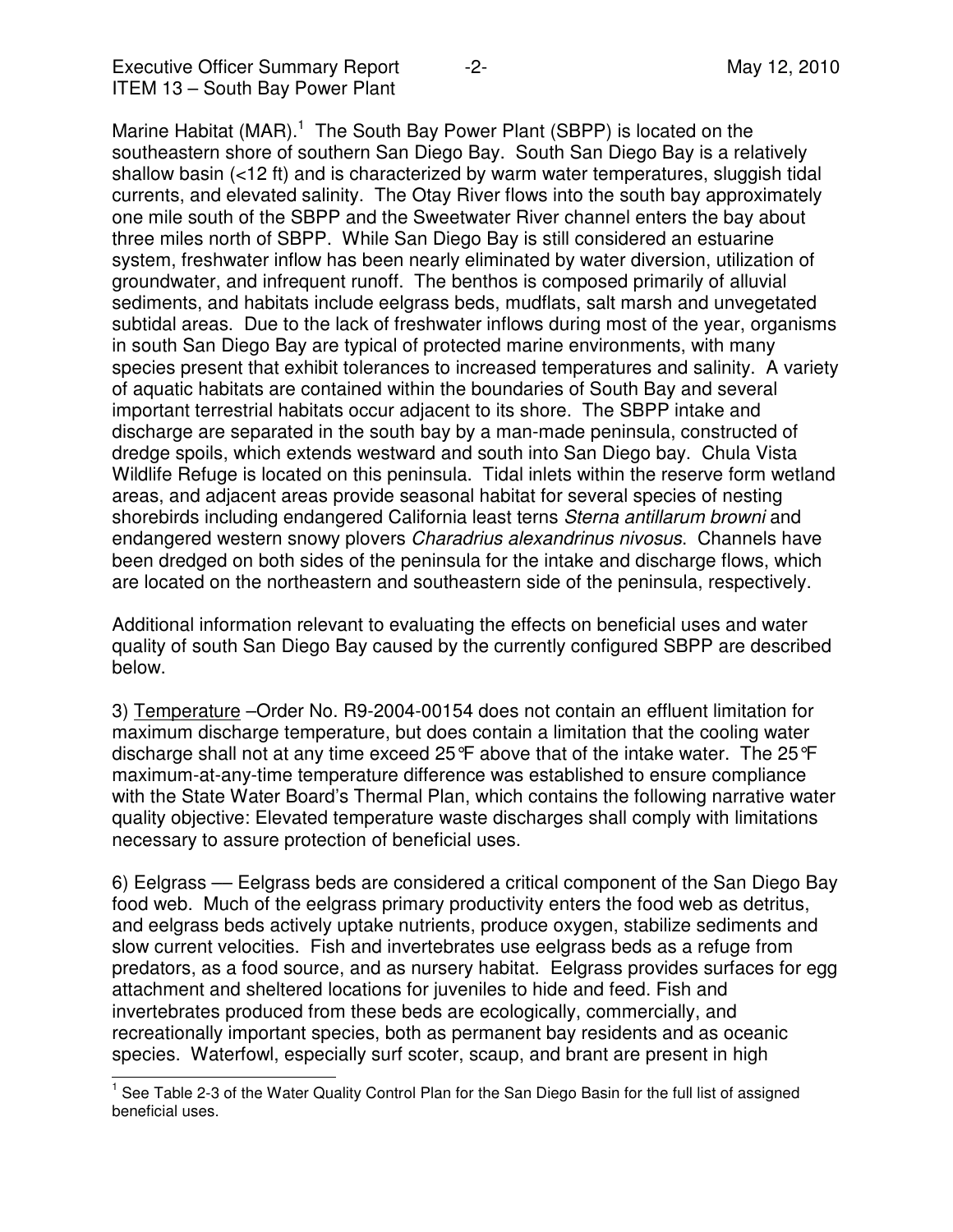l

Marine Habitat  $(MAR)$ .<sup>1</sup> The South Bay Power Plant (SBPP) is located on the southeastern shore of southern San Diego Bay. South San Diego Bay is a relatively shallow basin (<12 ft) and is characterized by warm water temperatures, sluggish tidal currents, and elevated salinity. The Otay River flows into the south bay approximately one mile south of the SBPP and the Sweetwater River channel enters the bay about three miles north of SBPP. While San Diego Bay is still considered an estuarine system, freshwater inflow has been nearly eliminated by water diversion, utilization of groundwater, and infrequent runoff. The benthos is composed primarily of alluvial sediments, and habitats include eelgrass beds, mudflats, salt marsh and unvegetated subtidal areas. Due to the lack of freshwater inflows during most of the year, organisms in south San Diego Bay are typical of protected marine environments, with many species present that exhibit tolerances to increased temperatures and salinity. A variety of aquatic habitats are contained within the boundaries of South Bay and several important terrestrial habitats occur adjacent to its shore. The SBPP intake and discharge are separated in the south bay by a man-made peninsula, constructed of dredge spoils, which extends westward and south into San Diego bay. Chula Vista Wildlife Refuge is located on this peninsula. Tidal inlets within the reserve form wetland areas, and adjacent areas provide seasonal habitat for several species of nesting shorebirds including endangered California least terns Sterna antillarum browni and endangered western snowy plovers Charadrius alexandrinus nivosus. Channels have been dredged on both sides of the peninsula for the intake and discharge flows, which are located on the northeastern and southeastern side of the peninsula, respectively.

Additional information relevant to evaluating the effects on beneficial uses and water quality of south San Diego Bay caused by the currently configured SBPP are described below.

3) Temperature –Order No. R9-2004-00154 does not contain an effluent limitation for maximum discharge temperature, but does contain a limitation that the cooling water discharge shall not at any time exceed 25°F above that of the intake water. The 25°F maximum-at-any-time temperature difference was established to ensure compliance with the State Water Board's Thermal Plan, which contains the following narrative water quality objective: Elevated temperature waste discharges shall comply with limitations necessary to assure protection of beneficial uses.

6) Eelgrass –– Eelgrass beds are considered a critical component of the San Diego Bay food web. Much of the eelgrass primary productivity enters the food web as detritus, and eelgrass beds actively uptake nutrients, produce oxygen, stabilize sediments and slow current velocities. Fish and invertebrates use eelgrass beds as a refuge from predators, as a food source, and as nursery habitat. Eelgrass provides surfaces for egg attachment and sheltered locations for juveniles to hide and feed. Fish and invertebrates produced from these beds are ecologically, commercially, and recreationally important species, both as permanent bay residents and as oceanic species. Waterfowl, especially surf scoter, scaup, and brant are present in high

<sup>1</sup> See Table 2-3 of the Water Quality Control Plan for the San Diego Basin for the full list of assigned beneficial uses.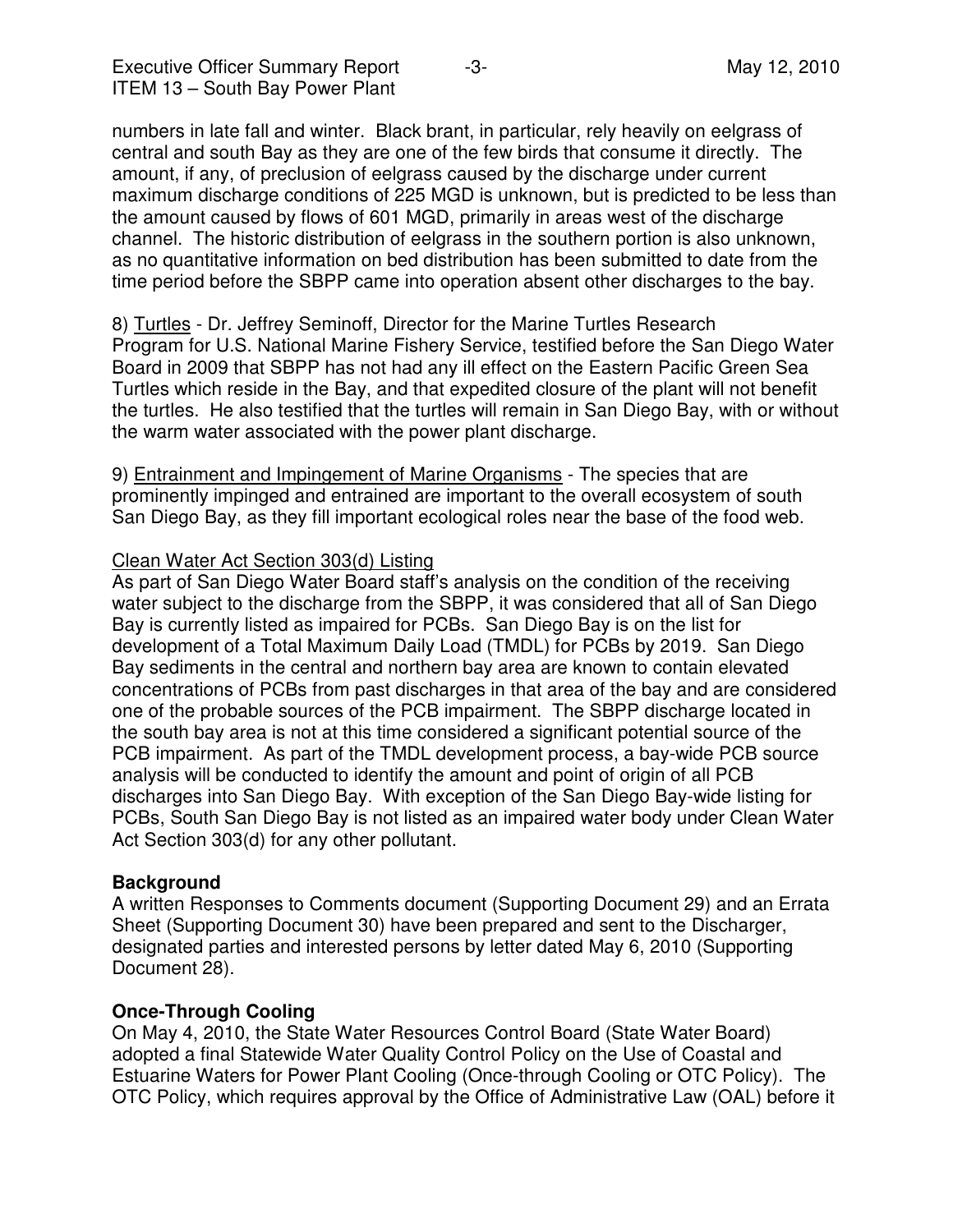numbers in late fall and winter. Black brant, in particular, rely heavily on eelgrass of central and south Bay as they are one of the few birds that consume it directly. The amount, if any, of preclusion of eelgrass caused by the discharge under current maximum discharge conditions of 225 MGD is unknown, but is predicted to be less than the amount caused by flows of 601 MGD, primarily in areas west of the discharge channel. The historic distribution of eelgrass in the southern portion is also unknown, as no quantitative information on bed distribution has been submitted to date from the time period before the SBPP came into operation absent other discharges to the bay.

8) Turtles - Dr. Jeffrey Seminoff, Director for the Marine Turtles Research Program for U.S. National Marine Fishery Service, testified before the San Diego Water Board in 2009 that SBPP has not had any ill effect on the Eastern Pacific Green Sea Turtles which reside in the Bay, and that expedited closure of the plant will not benefit the turtles. He also testified that the turtles will remain in San Diego Bay, with or without the warm water associated with the power plant discharge.

9) Entrainment and Impingement of Marine Organisms - The species that are prominently impinged and entrained are important to the overall ecosystem of south San Diego Bay, as they fill important ecological roles near the base of the food web.

### Clean Water Act Section 303(d) Listing

As part of San Diego Water Board staff's analysis on the condition of the receiving water subject to the discharge from the SBPP, it was considered that all of San Diego Bay is currently listed as impaired for PCBs. San Diego Bay is on the list for development of a Total Maximum Daily Load (TMDL) for PCBs by 2019. San Diego Bay sediments in the central and northern bay area are known to contain elevated concentrations of PCBs from past discharges in that area of the bay and are considered one of the probable sources of the PCB impairment. The SBPP discharge located in the south bay area is not at this time considered a significant potential source of the PCB impairment. As part of the TMDL development process, a bay-wide PCB source analysis will be conducted to identify the amount and point of origin of all PCB discharges into San Diego Bay. With exception of the San Diego Bay-wide listing for PCBs, South San Diego Bay is not listed as an impaired water body under Clean Water Act Section 303(d) for any other pollutant.

#### **Background**

A written Responses to Comments document (Supporting Document 29) and an Errata Sheet (Supporting Document 30) have been prepared and sent to the Discharger, designated parties and interested persons by letter dated May 6, 2010 (Supporting Document 28).

#### **Once-Through Cooling**

On May 4, 2010, the State Water Resources Control Board (State Water Board) adopted a final Statewide Water Quality Control Policy on the Use of Coastal and Estuarine Waters for Power Plant Cooling (Once-through Cooling or OTC Policy). The OTC Policy, which requires approval by the Office of Administrative Law (OAL) before it